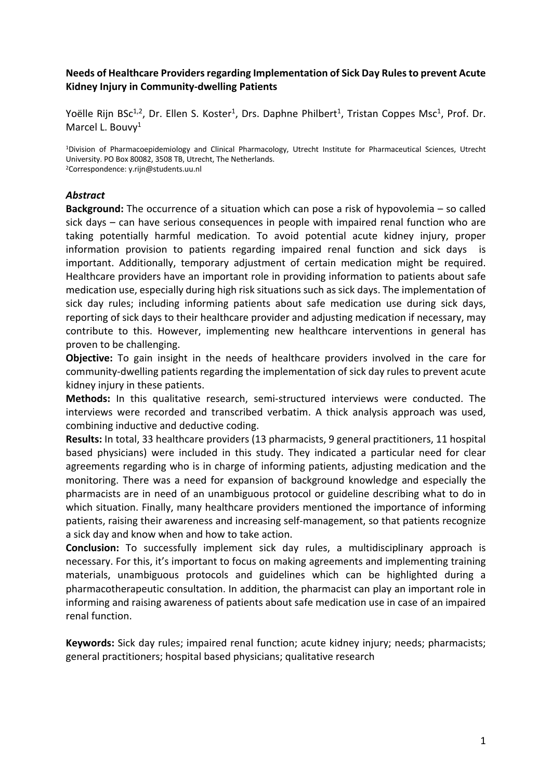## **Needs of Healthcare Providers regarding Implementation of Sick Day Rules to prevent Acute Kidney Injury in Community-dwelling Patients**

Yoëlle Rijn BSc<sup>1,2</sup>, Dr. Ellen S. Koster<sup>1</sup>, Drs. Daphne Philbert<sup>1</sup>, Tristan Coppes Msc<sup>1</sup>, Prof. Dr. Marcel L. Bouvv<sup>1</sup>

1Division of Pharmacoepidemiology and Clinical Pharmacology, Utrecht Institute for Pharmaceutical Sciences, Utrecht University. PO Box 80082, 3508 TB, Utrecht, The Netherlands. 2Correspondence: y.rijn@students.uu.nl

### *Abstract*

**Background:** The occurrence of a situation which can pose a risk of hypovolemia – so called sick days – can have serious consequences in people with impaired renal function who are taking potentially harmful medication. To avoid potential acute kidney injury, proper information provision to patients regarding impaired renal function and sick days is important. Additionally, temporary adjustment of certain medication might be required. Healthcare providers have an important role in providing information to patients about safe medication use, especially during high risk situations such as sick days. The implementation of sick day rules; including informing patients about safe medication use during sick days, reporting of sick days to their healthcare provider and adjusting medication if necessary, may contribute to this. However, implementing new healthcare interventions in general has proven to be challenging.

**Objective:** To gain insight in the needs of healthcare providers involved in the care for community-dwelling patients regarding the implementation of sick day rules to prevent acute kidney injury in these patients.

**Methods:** In this qualitative research, semi-structured interviews were conducted. The interviews were recorded and transcribed verbatim. A thick analysis approach was used, combining inductive and deductive coding.

**Results:** In total, 33 healthcare providers (13 pharmacists, 9 general practitioners, 11 hospital based physicians) were included in this study. They indicated a particular need for clear agreements regarding who is in charge of informing patients, adjusting medication and the monitoring. There was a need for expansion of background knowledge and especially the pharmacists are in need of an unambiguous protocol or guideline describing what to do in which situation. Finally, many healthcare providers mentioned the importance of informing patients, raising their awareness and increasing self-management, so that patients recognize a sick day and know when and how to take action.

**Conclusion:** To successfully implement sick day rules, a multidisciplinary approach is necessary. For this, it's important to focus on making agreements and implementing training materials, unambiguous protocols and guidelines which can be highlighted during a pharmacotherapeutic consultation. In addition, the pharmacist can play an important role in informing and raising awareness of patients about safe medication use in case of an impaired renal function.

**Keywords:** Sick day rules; impaired renal function; acute kidney injury; needs; pharmacists; general practitioners; hospital based physicians; qualitative research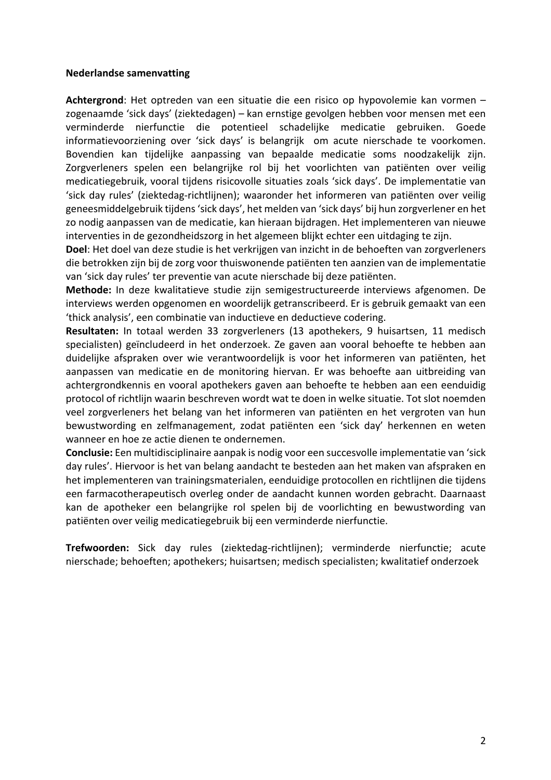#### **Nederlandse samenvatting**

**Achtergrond**: Het optreden van een situatie die een risico op hypovolemie kan vormen – zogenaamde 'sick days' (ziektedagen) – kan ernstige gevolgen hebben voor mensen met een verminderde nierfunctie die potentieel schadelijke medicatie gebruiken. Goede informatievoorziening over 'sick days' is belangrijk om acute nierschade te voorkomen. Bovendien kan tijdelijke aanpassing van bepaalde medicatie soms noodzakelijk zijn. Zorgverleners spelen een belangrijke rol bij het voorlichten van patiënten over veilig medicatiegebruik, vooral tijdens risicovolle situaties zoals 'sick days'. De implementatie van 'sick day rules' (ziektedag-richtlijnen); waaronder het informeren van patiënten over veilig geneesmiddelgebruik tijdens 'sick days', het melden van 'sick days' bij hun zorgverlener en het zo nodig aanpassen van de medicatie, kan hieraan bijdragen. Het implementeren van nieuwe interventies in de gezondheidszorg in het algemeen blijkt echter een uitdaging te zijn.

**Doel**: Het doel van deze studie is het verkrijgen van inzicht in de behoeften van zorgverleners die betrokken zijn bij de zorg voor thuiswonende patiënten ten aanzien van de implementatie van 'sick day rules' ter preventie van acute nierschade bij deze patiënten.

**Methode:** In deze kwalitatieve studie zijn semigestructureerde interviews afgenomen. De interviews werden opgenomen en woordelijk getranscribeerd. Er is gebruik gemaakt van een 'thick analysis', een combinatie van inductieve en deductieve codering.

**Resultaten:** In totaal werden 33 zorgverleners (13 apothekers, 9 huisartsen, 11 medisch specialisten) geïncludeerd in het onderzoek. Ze gaven aan vooral behoefte te hebben aan duidelijke afspraken over wie verantwoordelijk is voor het informeren van patiënten, het aanpassen van medicatie en de monitoring hiervan. Er was behoefte aan uitbreiding van achtergrondkennis en vooral apothekers gaven aan behoefte te hebben aan een eenduidig protocol of richtlijn waarin beschreven wordt wat te doen in welke situatie. Tot slot noemden veel zorgverleners het belang van het informeren van patiënten en het vergroten van hun bewustwording en zelfmanagement, zodat patiënten een 'sick day' herkennen en weten wanneer en hoe ze actie dienen te ondernemen.

**Conclusie:** Een multidisciplinaire aanpak is nodig voor een succesvolle implementatie van 'sick day rules'. Hiervoor is het van belang aandacht te besteden aan het maken van afspraken en het implementeren van trainingsmaterialen, eenduidige protocollen en richtlijnen die tijdens een farmacotherapeutisch overleg onder de aandacht kunnen worden gebracht. Daarnaast kan de apotheker een belangrijke rol spelen bij de voorlichting en bewustwording van patiënten over veilig medicatiegebruik bij een verminderde nierfunctie.

**Trefwoorden:** Sick day rules (ziektedag-richtlijnen); verminderde nierfunctie; acute nierschade; behoeften; apothekers; huisartsen; medisch specialisten; kwalitatief onderzoek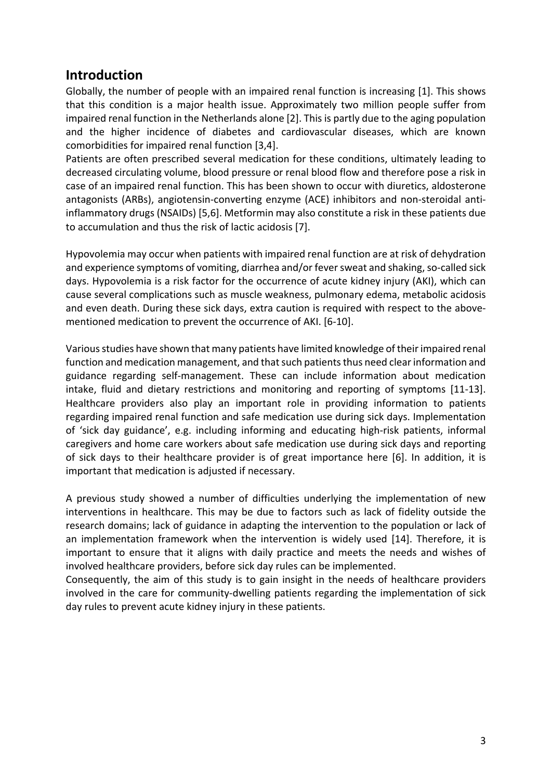## **Introduction**

Globally, the number of people with an impaired renal function is increasing [1]. This shows that this condition is a major health issue. Approximately two million people suffer from impaired renal function in the Netherlands alone [2]. This is partly due to the aging population and the higher incidence of diabetes and cardiovascular diseases, which are known comorbidities for impaired renal function [3,4].

Patients are often prescribed several medication for these conditions, ultimately leading to decreased circulating volume, blood pressure or renal blood flow and therefore pose a risk in case of an impaired renal function. This has been shown to occur with diuretics, aldosterone antagonists (ARBs), angiotensin-converting enzyme (ACE) inhibitors and non-steroidal antiinflammatory drugs (NSAIDs) [5,6]. Metformin may also constitute a risk in these patients due to accumulation and thus the risk of lactic acidosis [7].

Hypovolemia may occur when patients with impaired renal function are at risk of dehydration and experience symptoms of vomiting, diarrhea and/or fever sweat and shaking, so-called sick days. Hypovolemia is a risk factor for the occurrence of acute kidney injury (AKI), which can cause several complications such as muscle weakness, pulmonary edema, metabolic acidosis and even death. During these sick days, extra caution is required with respect to the abovementioned medication to prevent the occurrence of AKI. [6-10].

Various studies have shown that many patients have limited knowledge of their impaired renal function and medication management, and that such patients thus need clear information and guidance regarding self-management. These can include information about medication intake, fluid and dietary restrictions and monitoring and reporting of symptoms [11-13]. Healthcare providers also play an important role in providing information to patients regarding impaired renal function and safe medication use during sick days. Implementation of 'sick day guidance', e.g. including informing and educating high-risk patients, informal caregivers and home care workers about safe medication use during sick days and reporting of sick days to their healthcare provider is of great importance here [6]. In addition, it is important that medication is adjusted if necessary.

A previous study showed a number of difficulties underlying the implementation of new interventions in healthcare. This may be due to factors such as lack of fidelity outside the research domains; lack of guidance in adapting the intervention to the population or lack of an implementation framework when the intervention is widely used [14]. Therefore, it is important to ensure that it aligns with daily practice and meets the needs and wishes of involved healthcare providers, before sick day rules can be implemented.

Consequently, the aim of this study is to gain insight in the needs of healthcare providers involved in the care for community-dwelling patients regarding the implementation of sick day rules to prevent acute kidney injury in these patients.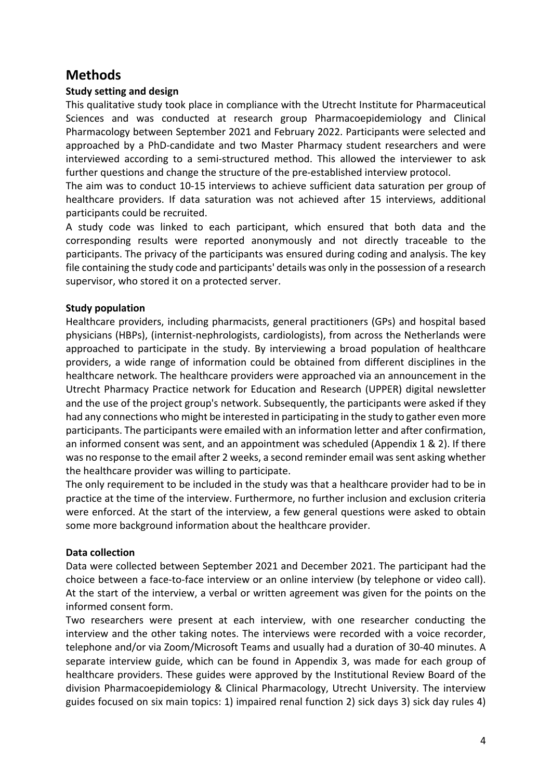# **Methods**

## **Study setting and design**

This qualitative study took place in compliance with the Utrecht Institute for Pharmaceutical Sciences and was conducted at research group Pharmacoepidemiology and Clinical Pharmacology between September 2021 and February 2022. Participants were selected and approached by a PhD-candidate and two Master Pharmacy student researchers and were interviewed according to a semi-structured method. This allowed the interviewer to ask further questions and change the structure of the pre-established interview protocol.

The aim was to conduct 10-15 interviews to achieve sufficient data saturation per group of healthcare providers. If data saturation was not achieved after 15 interviews, additional participants could be recruited.

A study code was linked to each participant, which ensured that both data and the corresponding results were reported anonymously and not directly traceable to the participants. The privacy of the participants was ensured during coding and analysis. The key file containing the study code and participants' details was only in the possession of a research supervisor, who stored it on a protected server.

## **Study population**

Healthcare providers, including pharmacists, general practitioners (GPs) and hospital based physicians (HBPs), (internist-nephrologists, cardiologists), from across the Netherlands were approached to participate in the study. By interviewing a broad population of healthcare providers, a wide range of information could be obtained from different disciplines in the healthcare network. The healthcare providers were approached via an announcement in the Utrecht Pharmacy Practice network for Education and Research (UPPER) digital newsletter and the use of the project group's network. Subsequently, the participants were asked if they had any connections who might be interested in participating in the study to gather even more participants. The participants were emailed with an information letter and after confirmation, an informed consent was sent, and an appointment was scheduled (Appendix 1 & 2). If there was no response to the email after 2 weeks, a second reminder email was sent asking whether the healthcare provider was willing to participate.

The only requirement to be included in the study was that a healthcare provider had to be in practice at the time of the interview. Furthermore, no further inclusion and exclusion criteria were enforced. At the start of the interview, a few general questions were asked to obtain some more background information about the healthcare provider.

## **Data collection**

Data were collected between September 2021 and December 2021. The participant had the choice between a face-to-face interview or an online interview (by telephone or video call). At the start of the interview, a verbal or written agreement was given for the points on the informed consent form.

Two researchers were present at each interview, with one researcher conducting the interview and the other taking notes. The interviews were recorded with a voice recorder, telephone and/or via Zoom/Microsoft Teams and usually had a duration of 30-40 minutes. A separate interview guide, which can be found in Appendix 3, was made for each group of healthcare providers. These guides were approved by the Institutional Review Board of the division Pharmacoepidemiology & Clinical Pharmacology, Utrecht University. The interview guides focused on six main topics: 1) impaired renal function 2) sick days 3) sick day rules 4)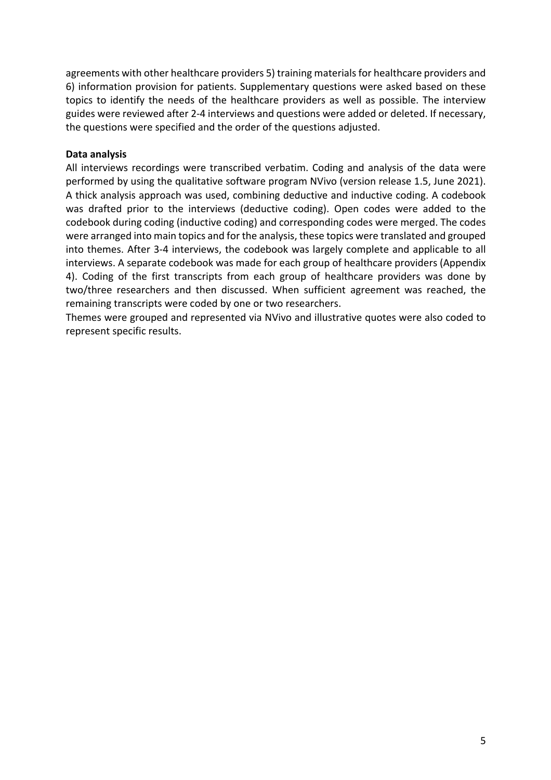agreements with other healthcare providers 5) training materials for healthcare providers and 6) information provision for patients. Supplementary questions were asked based on these topics to identify the needs of the healthcare providers as well as possible. The interview guides were reviewed after 2-4 interviews and questions were added or deleted. If necessary, the questions were specified and the order of the questions adjusted.

### **Data analysis**

All interviews recordings were transcribed verbatim. Coding and analysis of the data were performed by using the qualitative software program NVivo (version release 1.5, June 2021). A thick analysis approach was used, combining deductive and inductive coding. A codebook was drafted prior to the interviews (deductive coding). Open codes were added to the codebook during coding (inductive coding) and corresponding codes were merged. The codes were arranged into main topics and for the analysis, these topics were translated and grouped into themes. After 3-4 interviews, the codebook was largely complete and applicable to all interviews. A separate codebook was made for each group of healthcare providers (Appendix 4). Coding of the first transcripts from each group of healthcare providers was done by two/three researchers and then discussed. When sufficient agreement was reached, the remaining transcripts were coded by one or two researchers.

Themes were grouped and represented via NVivo and illustrative quotes were also coded to represent specific results.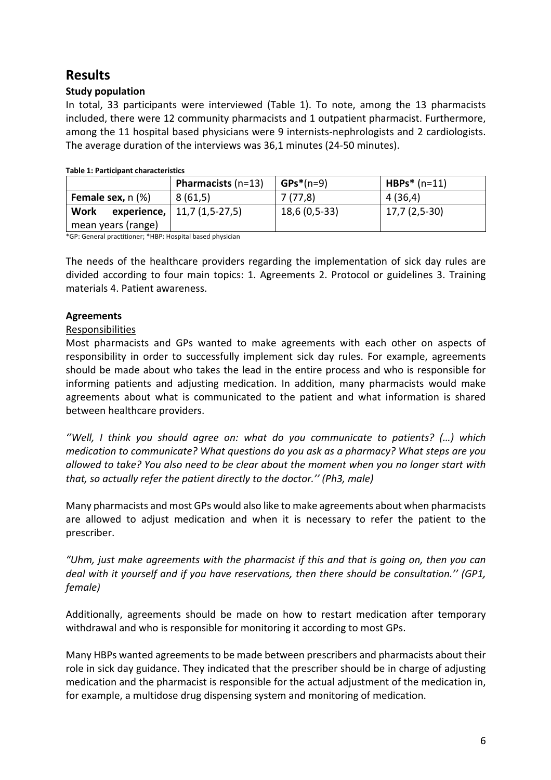# **Results**

## **Study population**

In total, 33 participants were interviewed (Table 1). To note, among the 13 pharmacists included, there were 12 community pharmacists and 1 outpatient pharmacist. Furthermore, among the 11 hospital based physicians were 9 internists-nephrologists and 2 cardiologists. The average duration of the interviews was 36,1 minutes (24-50 minutes).

|                                       | <b>Pharmacists</b> $(n=13)$   | $GPs*(n=9)$   | $HBPs* (n=11)$ |
|---------------------------------------|-------------------------------|---------------|----------------|
| <b>Female sex, <math>n</math> (%)</b> | 8(61,5)                       | 7 (77.8)      | 4(36,4)        |
| <b>Work</b>                           | experience,   11,7 (1,5-27,5) | 18,6 (0,5-33) | 17,7 (2,5-30)  |
| mean years (range)                    |                               |               |                |

#### **Table 1: Participant characteristics**

\*GP: General practitioner; \*HBP: Hospital based physician

The needs of the healthcare providers regarding the implementation of sick day rules are divided according to four main topics: 1. Agreements 2. Protocol or guidelines 3. Training materials 4. Patient awareness.

### **Agreements**

#### Responsibilities

Most pharmacists and GPs wanted to make agreements with each other on aspects of responsibility in order to successfully implement sick day rules. For example, agreements should be made about who takes the lead in the entire process and who is responsible for informing patients and adjusting medication. In addition, many pharmacists would make agreements about what is communicated to the patient and what information is shared between healthcare providers.

*''Well, I think you should agree on: what do you communicate to patients? (…) which medication to communicate? What questions do you ask as a pharmacy? What steps are you allowed to take? You also need to be clear about the moment when you no longer start with that, so actually refer the patient directly to the doctor.'' (Ph3, male)*

Many pharmacists and most GPs would also like to make agreements about when pharmacists are allowed to adjust medication and when it is necessary to refer the patient to the prescriber.

*"Uhm, just make agreements with the pharmacist if this and that is going on, then you can deal with it yourself and if you have reservations, then there should be consultation.'' (GP1, female)*

Additionally, agreements should be made on how to restart medication after temporary withdrawal and who is responsible for monitoring it according to most GPs.

Many HBPs wanted agreements to be made between prescribers and pharmacists about their role in sick day guidance. They indicated that the prescriber should be in charge of adjusting medication and the pharmacist is responsible for the actual adjustment of the medication in, for example, a multidose drug dispensing system and monitoring of medication.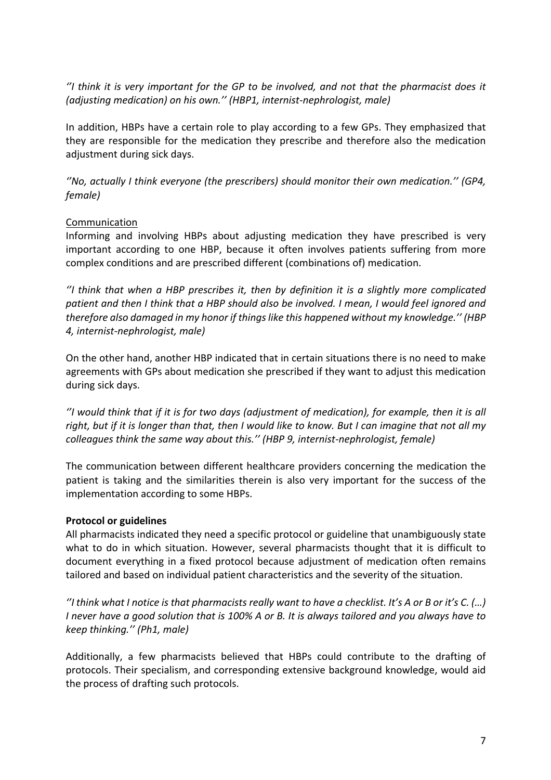*''I think it is very important for the GP to be involved, and not that the pharmacist does it (adjusting medication) on his own.'' (HBP1, internist-nephrologist, male)*

In addition, HBPs have a certain role to play according to a few GPs. They emphasized that they are responsible for the medication they prescribe and therefore also the medication adjustment during sick days.

*''No, actually I think everyone (the prescribers) should monitor their own medication.'' (GP4, female)*

## Communication

Informing and involving HBPs about adjusting medication they have prescribed is very important according to one HBP, because it often involves patients suffering from more complex conditions and are prescribed different (combinations of) medication.

*''I think that when a HBP prescribes it, then by definition it is a slightly more complicated patient and then I think that a HBP should also be involved. I mean, I would feel ignored and therefore also damaged in my honor if things like this happened without my knowledge.'' (HBP 4, internist-nephrologist, male)*

On the other hand, another HBP indicated that in certain situations there is no need to make agreements with GPs about medication she prescribed if they want to adjust this medication during sick days.

*''I would think that if it is for two days (adjustment of medication), for example, then it is all right, but if it is longer than that, then I would like to know. But I can imagine that not all my colleagues think the same way about this.'' (HBP 9, internist-nephrologist, female)*

The communication between different healthcare providers concerning the medication the patient is taking and the similarities therein is also very important for the success of the implementation according to some HBPs.

## **Protocol or guidelines**

All pharmacists indicated they need a specific protocol or guideline that unambiguously state what to do in which situation. However, several pharmacists thought that it is difficult to document everything in a fixed protocol because adjustment of medication often remains tailored and based on individual patient characteristics and the severity of the situation.

*''I think what I notice is that pharmacists really want to have a checklist. It's A or B or it's C. (…) I never have a good solution that is 100% A or B. It is always tailored and you always have to keep thinking.'' (Ph1, male)*

Additionally, a few pharmacists believed that HBPs could contribute to the drafting of protocols. Their specialism, and corresponding extensive background knowledge, would aid the process of drafting such protocols.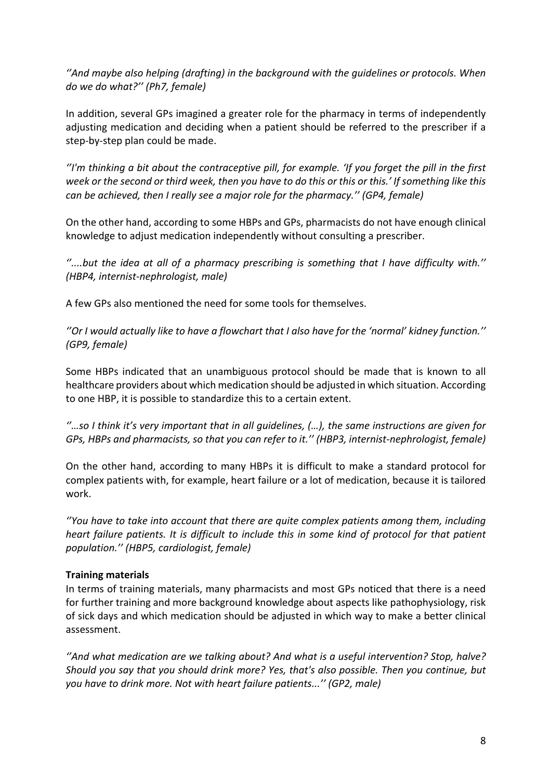*''And maybe also helping (drafting) in the background with the guidelines or protocols. When do we do what?'' (Ph7, female)*

In addition, several GPs imagined a greater role for the pharmacy in terms of independently adjusting medication and deciding when a patient should be referred to the prescriber if a step-by-step plan could be made.

*''I'm thinking a bit about the contraceptive pill, for example. 'If you forget the pill in the first week or the second or third week, then you have to do this or this or this.' If something like this can be achieved, then I really see a major role for the pharmacy.'' (GP4, female)*

On the other hand, according to some HBPs and GPs, pharmacists do not have enough clinical knowledge to adjust medication independently without consulting a prescriber.

*''....but the idea at all of a pharmacy prescribing is something that I have difficulty with.'' (HBP4, internist-nephrologist, male)*

A few GPs also mentioned the need for some tools for themselves.

*''Or I would actually like to have a flowchart that I also have for the 'normal' kidney function.'' (GP9, female)*

Some HBPs indicated that an unambiguous protocol should be made that is known to all healthcare providers about which medication should be adjusted in which situation. According to one HBP, it is possible to standardize this to a certain extent.

*''…so I think it's very important that in all guidelines, (…), the same instructions are given for GPs, HBPs and pharmacists, so that you can refer to it.'' (HBP3, internist-nephrologist, female)*

On the other hand, according to many HBPs it is difficult to make a standard protocol for complex patients with, for example, heart failure or a lot of medication, because it is tailored work.

*''You have to take into account that there are quite complex patients among them, including heart failure patients. It is difficult to include this in some kind of protocol for that patient population.'' (HBP5, cardiologist, female)*

## **Training materials**

In terms of training materials, many pharmacists and most GPs noticed that there is a need for further training and more background knowledge about aspects like pathophysiology, risk of sick days and which medication should be adjusted in which way to make a better clinical assessment.

*''And what medication are we talking about? And what is a useful intervention? Stop, halve? Should you say that you should drink more? Yes, that's also possible. Then you continue, but you have to drink more. Not with heart failure patients...'' (GP2, male)*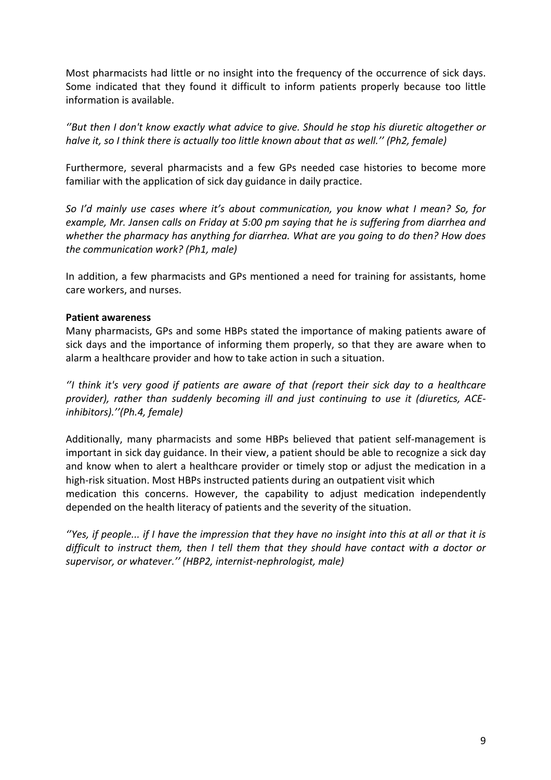Most pharmacists had little or no insight into the frequency of the occurrence of sick days. Some indicated that they found it difficult to inform patients properly because too little information is available.

*''But then I don't know exactly what advice to give. Should he stop his diuretic altogether or halve it, so I think there is actually too little known about that as well.'' (Ph2, female)*

Furthermore, several pharmacists and a few GPs needed case histories to become more familiar with the application of sick day guidance in daily practice.

*So I'd mainly use cases where it's about communication, you know what I mean? So, for example, Mr. Jansen calls on Friday at 5:00 pm saying that he is suffering from diarrhea and whether the pharmacy has anything for diarrhea. What are you going to do then? How does the communication work? (Ph1, male)*

In addition, a few pharmacists and GPs mentioned a need for training for assistants, home care workers, and nurses.

### **Patient awareness**

Many pharmacists, GPs and some HBPs stated the importance of making patients aware of sick days and the importance of informing them properly, so that they are aware when to alarm a healthcare provider and how to take action in such a situation.

*''I think it's very good if patients are aware of that (report their sick day to a healthcare provider), rather than suddenly becoming ill and just continuing to use it (diuretics, ACEinhibitors).''(Ph.4, female)*

Additionally, many pharmacists and some HBPs believed that patient self-management is important in sick day guidance. In their view, a patient should be able to recognize a sick day and know when to alert a healthcare provider or timely stop or adjust the medication in a high-risk situation. Most HBPs instructed patients during an outpatient visit which medication this concerns. However, the capability to adjust medication independently depended on the health literacy of patients and the severity of the situation.

*''Yes, if people... if I have the impression that they have no insight into this at all or that it is difficult to instruct them, then I tell them that they should have contact with a doctor or supervisor, or whatever.'' (HBP2, internist-nephrologist, male)*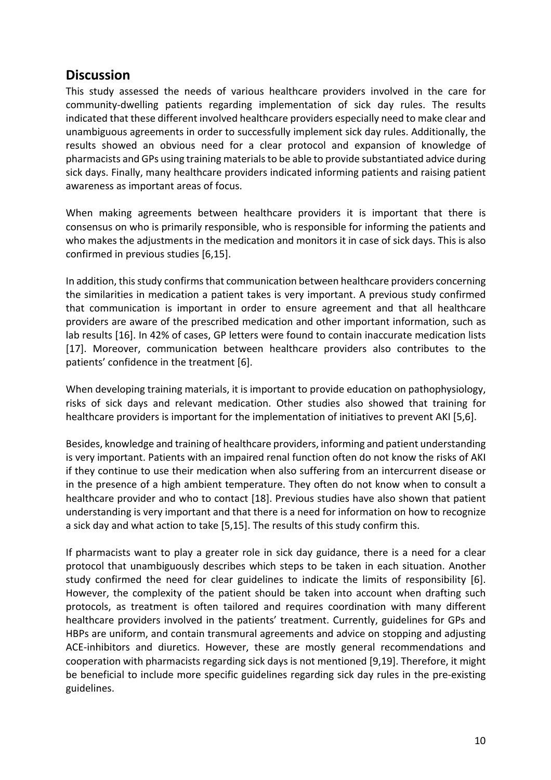## **Discussion**

This study assessed the needs of various healthcare providers involved in the care for community-dwelling patients regarding implementation of sick day rules. The results indicated that these different involved healthcare providers especially need to make clear and unambiguous agreements in order to successfully implement sick day rules. Additionally, the results showed an obvious need for a clear protocol and expansion of knowledge of pharmacists and GPs using training materials to be able to provide substantiated advice during sick days. Finally, many healthcare providers indicated informing patients and raising patient awareness as important areas of focus.

When making agreements between healthcare providers it is important that there is consensus on who is primarily responsible, who is responsible for informing the patients and who makes the adjustments in the medication and monitors it in case of sick days. This is also confirmed in previous studies [6,15].

In addition, this study confirms that communication between healthcare providers concerning the similarities in medication a patient takes is very important. A previous study confirmed that communication is important in order to ensure agreement and that all healthcare providers are aware of the prescribed medication and other important information, such as lab results [16]. In 42% of cases, GP letters were found to contain inaccurate medication lists [17]. Moreover, communication between healthcare providers also contributes to the patients' confidence in the treatment [6].

When developing training materials, it is important to provide education on pathophysiology, risks of sick days and relevant medication. Other studies also showed that training for healthcare providers is important for the implementation of initiatives to prevent AKI [5,6].

Besides, knowledge and training of healthcare providers, informing and patient understanding is very important. Patients with an impaired renal function often do not know the risks of AKI if they continue to use their medication when also suffering from an intercurrent disease or in the presence of a high ambient temperature. They often do not know when to consult a healthcare provider and who to contact [18]. Previous studies have also shown that patient understanding is very important and that there is a need for information on how to recognize a sick day and what action to take [5,15]. The results of this study confirm this.

If pharmacists want to play a greater role in sick day guidance, there is a need for a clear protocol that unambiguously describes which steps to be taken in each situation. Another study confirmed the need for clear guidelines to indicate the limits of responsibility [6]. However, the complexity of the patient should be taken into account when drafting such protocols, as treatment is often tailored and requires coordination with many different healthcare providers involved in the patients' treatment. Currently, guidelines for GPs and HBPs are uniform, and contain transmural agreements and advice on stopping and adjusting ACE-inhibitors and diuretics. However, these are mostly general recommendations and cooperation with pharmacists regarding sick days is not mentioned [9,19]. Therefore, it might be beneficial to include more specific guidelines regarding sick day rules in the pre-existing guidelines.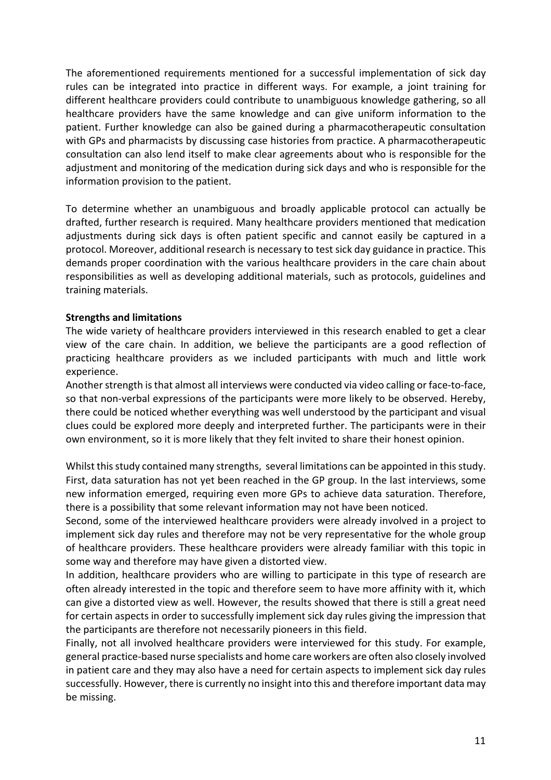The aforementioned requirements mentioned for a successful implementation of sick day rules can be integrated into practice in different ways. For example, a joint training for different healthcare providers could contribute to unambiguous knowledge gathering, so all healthcare providers have the same knowledge and can give uniform information to the patient. Further knowledge can also be gained during a pharmacotherapeutic consultation with GPs and pharmacists by discussing case histories from practice. A pharmacotherapeutic consultation can also lend itself to make clear agreements about who is responsible for the adjustment and monitoring of the medication during sick days and who is responsible for the information provision to the patient.

To determine whether an unambiguous and broadly applicable protocol can actually be drafted, further research is required. Many healthcare providers mentioned that medication adjustments during sick days is often patient specific and cannot easily be captured in a protocol. Moreover, additional research is necessary to test sick day guidance in practice. This demands proper coordination with the various healthcare providers in the care chain about responsibilities as well as developing additional materials, such as protocols, guidelines and training materials.

## **Strengths and limitations**

The wide variety of healthcare providers interviewed in this research enabled to get a clear view of the care chain. In addition, we believe the participants are a good reflection of practicing healthcare providers as we included participants with much and little work experience.

Another strength is that almost all interviews were conducted via video calling or face-to-face, so that non-verbal expressions of the participants were more likely to be observed. Hereby, there could be noticed whether everything was well understood by the participant and visual clues could be explored more deeply and interpreted further. The participants were in their own environment, so it is more likely that they felt invited to share their honest opinion.

Whilst this study contained many strengths, several limitations can be appointed in this study. First, data saturation has not yet been reached in the GP group. In the last interviews, some new information emerged, requiring even more GPs to achieve data saturation. Therefore, there is a possibility that some relevant information may not have been noticed.

Second, some of the interviewed healthcare providers were already involved in a project to implement sick day rules and therefore may not be very representative for the whole group of healthcare providers. These healthcare providers were already familiar with this topic in some way and therefore may have given a distorted view.

In addition, healthcare providers who are willing to participate in this type of research are often already interested in the topic and therefore seem to have more affinity with it, which can give a distorted view as well. However, the results showed that there is still a great need for certain aspects in order to successfully implement sick day rules giving the impression that the participants are therefore not necessarily pioneers in this field.

Finally, not all involved healthcare providers were interviewed for this study. For example, general practice-based nurse specialists and home care workers are often also closely involved in patient care and they may also have a need for certain aspects to implement sick day rules successfully. However, there is currently no insight into this and therefore important data may be missing.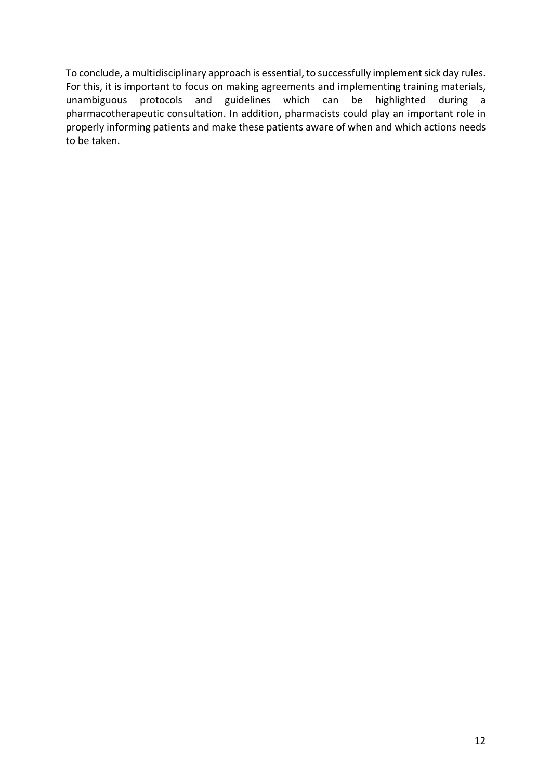To conclude, a multidisciplinary approach is essential, to successfully implement sick day rules. For this, it is important to focus on making agreements and implementing training materials, unambiguous protocols and guidelines which can be highlighted during a pharmacotherapeutic consultation. In addition, pharmacists could play an important role in properly informing patients and make these patients aware of when and which actions needs to be taken.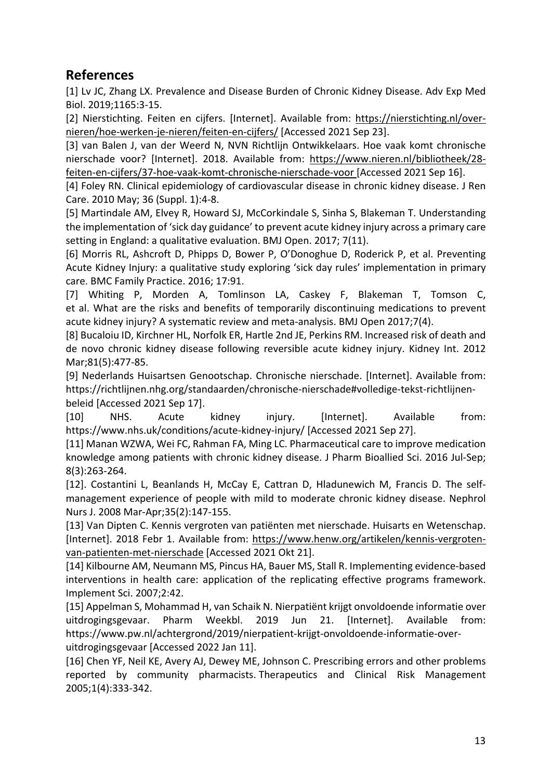# **References**

[1] Lv JC, Zhang LX. Prevalence and Disease Burden of Chronic Kidney Disease. Adv Exp Med Biol. 2019;1165:3-15.

[2] Nierstichting. Feiten en cijfers. [Internet]. Available from: https://nierstichting.nl/overnieren/hoe-werken-je-nieren/feiten-en-cijfers/ [Accessed 2021 Sep 23].

[3] van Balen J, van der Weerd N, NVN Richtlijn Ontwikkelaars. Hoe vaak komt chronische nierschade voor? [Internet]. 2018. Available from: https://www.nieren.nl/bibliotheek/28 feiten-en-cijfers/37-hoe-vaak-komt-chronische-nierschade-voor [Accessed 2021 Sep 16].

[4] Foley RN. Clinical epidemiology of cardiovascular disease in chronic kidney disease. J Ren Care. 2010 May; 36 (Suppl. 1):4-8.

[5] Martindale AM, Elvey R, Howard SJ, McCorkindale S, Sinha S, Blakeman T. Understanding the implementation of 'sick day guidance' to prevent acute kidney injury across a primary care setting in England: a qualitative evaluation. BMJ Open. 2017; 7(11).

[6] Morris RL, Ashcroft D, Phipps D, Bower P, O'Donoghue D, Roderick P, et al. Preventing Acute Kidney Injury: a qualitative study exploring 'sick day rules' implementation in primary care. BMC Family Practice. 2016; 17:91.

[7] Whiting P, Morden A, Tomlinson LA, Caskey F, Blakeman T, Tomson C, et al. What are the risks and benefits of temporarily discontinuing medications to prevent acute kidney injury? A systematic review and meta-analysis. BMJ Open 2017;7(4).

[8] Bucaloiu ID, Kirchner HL, Norfolk ER, Hartle 2nd JE, Perkins RM. Increased risk of death and de novo chronic kidney disease following reversible acute kidney injury. Kidney Int. 2012 Mar;81(5):477-85.

[9] Nederlands Huisartsen Genootschap. Chronische nierschade. [Internet]. Available from: https://richtlijnen.nhg.org/standaarden/chronische-nierschade#volledige-tekst-richtlijnenbeleid [Accessed 2021 Sep 17].

[10] NHS. Acute kidney injury. [Internet]. Available from: https://www.nhs.uk/conditions/acute-kidney-injury/ [Accessed 2021 Sep 27].

[11] Manan WZWA, Wei FC, Rahman FA, Ming LC. Pharmaceutical care to improve medication knowledge among patients with chronic kidney disease. J Pharm Bioallied Sci. 2016 Jul-Sep; 8(3):263-264.

[12]. Costantini L, Beanlands H, McCay E, Cattran D, Hladunewich M, Francis D. The selfmanagement experience of people with mild to moderate chronic kidney disease. Nephrol Nurs J. 2008 Mar-Apr;35(2):147-155.

[13] Van Dipten C. Kennis vergroten van patiënten met nierschade. Huisarts en Wetenschap. [Internet]. 2018 Febr 1. Available from: https://www.henw.org/artikelen/kennis-vergrotenvan-patienten-met-nierschade [Accessed 2021 Okt 21].

[14] Kilbourne AM, Neumann MS, Pincus HA, Bauer MS, Stall R. Implementing evidence-based interventions in health care: application of the replicating effective programs framework. Implement Sci. 2007;2:42.

[15] Appelman S, Mohammad H, van Schaik N. Nierpatiënt krijgt onvoldoende informatie over uitdrogingsgevaar. Pharm Weekbl. 2019 Jun 21. [Internet]. Available from: https://www.pw.nl/achtergrond/2019/nierpatient-krijgt-onvoldoende-informatie-overuitdrogingsgevaar [Accessed 2022 Jan 11].

[16] Chen YF, Neil KE, Avery AJ, Dewey ME, Johnson C. Prescribing errors and other problems reported by community pharmacists. Therapeutics and Clinical Risk Management 2005;1(4):333-342.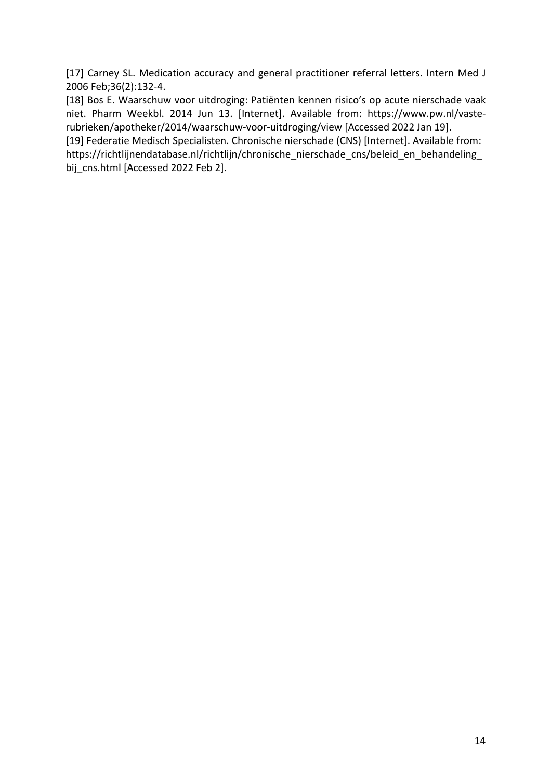[17] Carney SL. Medication accuracy and general practitioner referral letters. Intern Med J 2006 Feb;36(2):132-4.

[18] Bos E. Waarschuw voor uitdroging: Patiënten kennen risico's op acute nierschade vaak niet. Pharm Weekbl. 2014 Jun 13. [Internet]. Available from: https://www.pw.nl/vasterubrieken/apotheker/2014/waarschuw-voor-uitdroging/view [Accessed 2022 Jan 19].

[19] Federatie Medisch Specialisten. Chronische nierschade (CNS) [Internet]. Available from: https://richtlijnendatabase.nl/richtlijn/chronische\_nierschade\_cns/beleid\_en\_behandeling bij cns.html [Accessed 2022 Feb 2].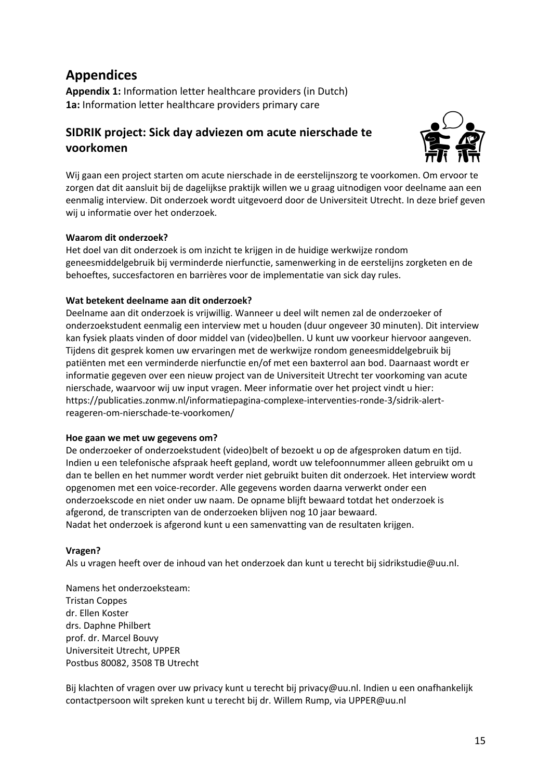# **Appendices**

**Appendix 1:** Information letter healthcare providers (in Dutch) **1a:** Information letter healthcare providers primary care

## **SIDRIK project: Sick day adviezen om acute nierschade te voorkomen**



Wij gaan een project starten om acute nierschade in de eerstelijnszorg te voorkomen. Om ervoor te zorgen dat dit aansluit bij de dagelijkse praktijk willen we u graag uitnodigen voor deelname aan een eenmalig interview. Dit onderzoek wordt uitgevoerd door de Universiteit Utrecht. In deze brief geven wij u informatie over het onderzoek.

#### **Waarom dit onderzoek?**

Het doel van dit onderzoek is om inzicht te krijgen in de huidige werkwijze rondom geneesmiddelgebruik bij verminderde nierfunctie, samenwerking in de eerstelijns zorgketen en de behoeftes, succesfactoren en barrières voor de implementatie van sick day rules.

### **Wat betekent deelname aan dit onderzoek?**

Deelname aan dit onderzoek is vrijwillig. Wanneer u deel wilt nemen zal de onderzoeker of onderzoekstudent eenmalig een interview met u houden (duur ongeveer 30 minuten). Dit interview kan fysiek plaats vinden of door middel van (video)bellen. U kunt uw voorkeur hiervoor aangeven. Tijdens dit gesprek komen uw ervaringen met de werkwijze rondom geneesmiddelgebruik bij patiënten met een verminderde nierfunctie en/of met een baxterrol aan bod. Daarnaast wordt er informatie gegeven over een nieuw project van de Universiteit Utrecht ter voorkoming van acute nierschade, waarvoor wij uw input vragen. Meer informatie over het project vindt u hier: https://publicaties.zonmw.nl/informatiepagina-complexe-interventies-ronde-3/sidrik-alertreageren-om-nierschade-te-voorkomen/

#### **Hoe gaan we met uw gegevens om?**

De onderzoeker of onderzoekstudent (video)belt of bezoekt u op de afgesproken datum en tijd. Indien u een telefonische afspraak heeft gepland, wordt uw telefoonnummer alleen gebruikt om u dan te bellen en het nummer wordt verder niet gebruikt buiten dit onderzoek. Het interview wordt opgenomen met een voice-recorder. Alle gegevens worden daarna verwerkt onder een onderzoekscode en niet onder uw naam. De opname blijft bewaard totdat het onderzoek is afgerond, de transcripten van de onderzoeken blijven nog 10 jaar bewaard. Nadat het onderzoek is afgerond kunt u een samenvatting van de resultaten krijgen.

#### **Vragen?**

Als u vragen heeft over de inhoud van het onderzoek dan kunt u terecht bij sidrikstudie@uu.nl.

Namens het onderzoeksteam: Tristan Coppes dr. Ellen Koster drs. Daphne Philbert prof. dr. Marcel Bouvy Universiteit Utrecht, UPPER Postbus 80082, 3508 TB Utrecht

Bij klachten of vragen over uw privacy kunt u terecht bij privacy@uu.nl. Indien u een onafhankelijk contactpersoon wilt spreken kunt u terecht bij dr. Willem Rump, via UPPER@uu.nl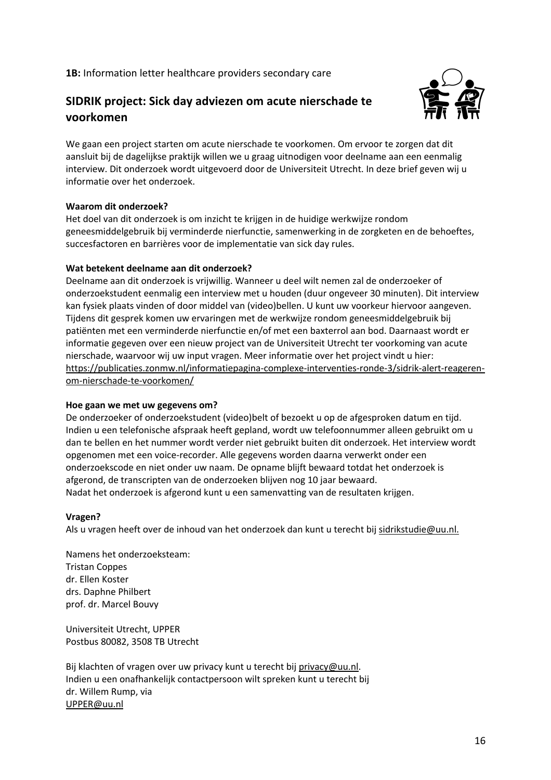**1B:** Information letter healthcare providers secondary care

## **SIDRIK project: Sick day adviezen om acute nierschade te voorkomen**



We gaan een project starten om acute nierschade te voorkomen. Om ervoor te zorgen dat dit aansluit bij de dagelijkse praktijk willen we u graag uitnodigen voor deelname aan een eenmalig interview. Dit onderzoek wordt uitgevoerd door de Universiteit Utrecht. In deze brief geven wij u informatie over het onderzoek.

#### **Waarom dit onderzoek?**

Het doel van dit onderzoek is om inzicht te krijgen in de huidige werkwijze rondom geneesmiddelgebruik bij verminderde nierfunctie, samenwerking in de zorgketen en de behoeftes, succesfactoren en barrières voor de implementatie van sick day rules.

#### **Wat betekent deelname aan dit onderzoek?**

Deelname aan dit onderzoek is vrijwillig. Wanneer u deel wilt nemen zal de onderzoeker of onderzoekstudent eenmalig een interview met u houden (duur ongeveer 30 minuten). Dit interview kan fysiek plaats vinden of door middel van (video)bellen. U kunt uw voorkeur hiervoor aangeven. Tijdens dit gesprek komen uw ervaringen met de werkwijze rondom geneesmiddelgebruik bij patiënten met een verminderde nierfunctie en/of met een baxterrol aan bod. Daarnaast wordt er informatie gegeven over een nieuw project van de Universiteit Utrecht ter voorkoming van acute nierschade, waarvoor wij uw input vragen. Meer informatie over het project vindt u hier: https://publicaties.zonmw.nl/informatiepagina-complexe-interventies-ronde-3/sidrik-alert-reagerenom-nierschade-te-voorkomen/

#### **Hoe gaan we met uw gegevens om?**

De onderzoeker of onderzoekstudent (video)belt of bezoekt u op de afgesproken datum en tijd. Indien u een telefonische afspraak heeft gepland, wordt uw telefoonnummer alleen gebruikt om u dan te bellen en het nummer wordt verder niet gebruikt buiten dit onderzoek. Het interview wordt opgenomen met een voice-recorder. Alle gegevens worden daarna verwerkt onder een onderzoekscode en niet onder uw naam. De opname blijft bewaard totdat het onderzoek is afgerond, de transcripten van de onderzoeken blijven nog 10 jaar bewaard. Nadat het onderzoek is afgerond kunt u een samenvatting van de resultaten krijgen.

#### **Vragen?**

Als u vragen heeft over de inhoud van het onderzoek dan kunt u terecht bij sidrikstudie@uu.nl.

Namens het onderzoeksteam: Tristan Coppes dr. Ellen Koster drs. Daphne Philbert prof. dr. Marcel Bouvy

Universiteit Utrecht, UPPER Postbus 80082, 3508 TB Utrecht

Bij klachten of vragen over uw privacy kunt u terecht bij privacy@uu.nl. Indien u een onafhankelijk contactpersoon wilt spreken kunt u terecht bij dr. Willem Rump, via UPPER@uu.nl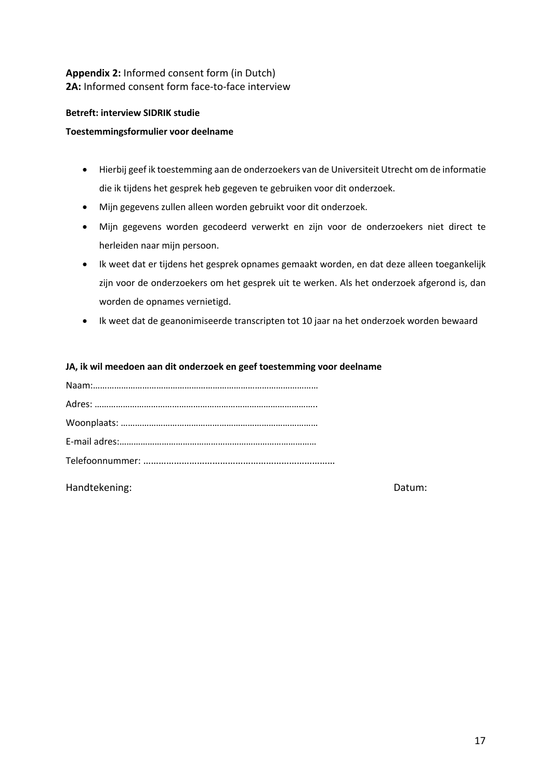## **Appendix 2:** Informed consent form (in Dutch) **2A:** Informed consent form face-to-face interview

#### **Betreft: interview SIDRIK studie**

#### **Toestemmingsformulier voor deelname**

- Hierbij geef ik toestemming aan de onderzoekers van de Universiteit Utrecht om de informatie die ik tijdens het gesprek heb gegeven te gebruiken voor dit onderzoek.
- Mijn gegevens zullen alleen worden gebruikt voor dit onderzoek.
- Mijn gegevens worden gecodeerd verwerkt en zijn voor de onderzoekers niet direct te herleiden naar mijn persoon.
- Ik weet dat er tijdens het gesprek opnames gemaakt worden, en dat deze alleen toegankelijk zijn voor de onderzoekers om het gesprek uit te werken. Als het onderzoek afgerond is, dan worden de opnames vernietigd.
- Ik weet dat de geanonimiseerde transcripten tot 10 jaar na het onderzoek worden bewaard

#### **JA, ik wil meedoen aan dit onderzoek en geef toestemming voor deelname**

Handtekening: Datum: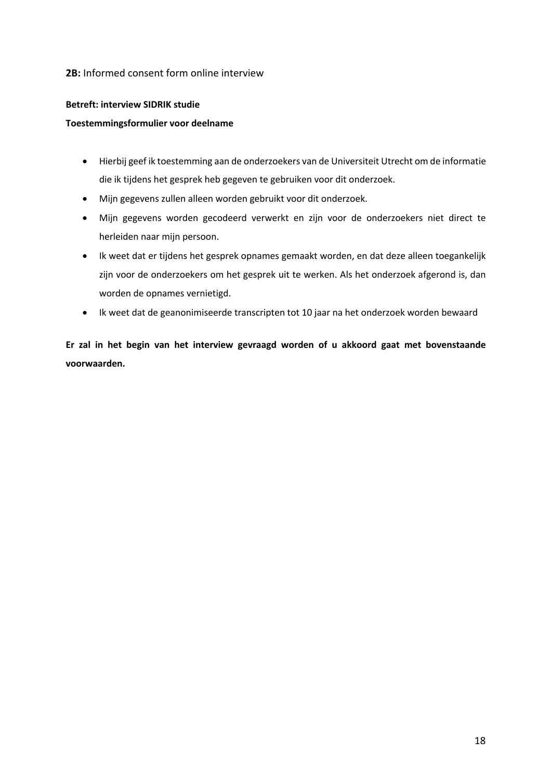#### **2B:** Informed consent form online interview

#### **Betreft: interview SIDRIK studie**

#### **Toestemmingsformulier voor deelname**

- Hierbij geef ik toestemming aan de onderzoekers van de Universiteit Utrecht om de informatie die ik tijdens het gesprek heb gegeven te gebruiken voor dit onderzoek.
- Mijn gegevens zullen alleen worden gebruikt voor dit onderzoek.
- Mijn gegevens worden gecodeerd verwerkt en zijn voor de onderzoekers niet direct te herleiden naar mijn persoon.
- Ik weet dat er tijdens het gesprek opnames gemaakt worden, en dat deze alleen toegankelijk zijn voor de onderzoekers om het gesprek uit te werken. Als het onderzoek afgerond is, dan worden de opnames vernietigd.
- Ik weet dat de geanonimiseerde transcripten tot 10 jaar na het onderzoek worden bewaard

**Er zal in het begin van het interview gevraagd worden of u akkoord gaat met bovenstaande voorwaarden.**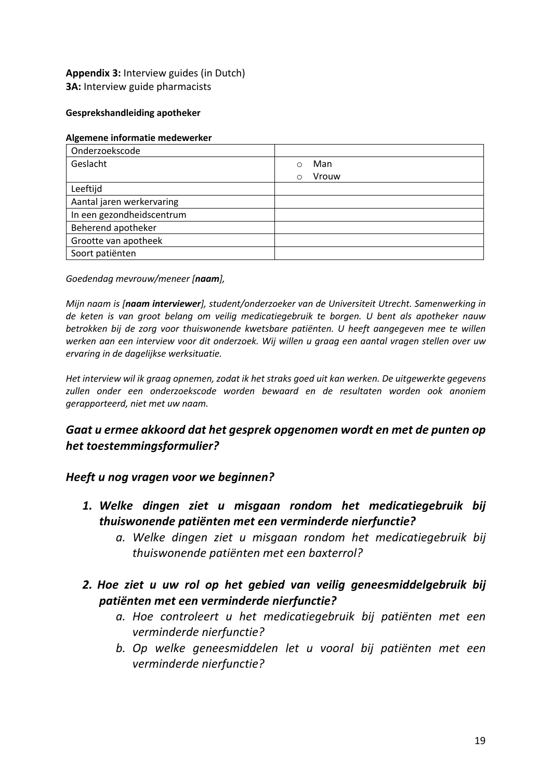## **Appendix 3:** Interview guides (in Dutch) **3A:** Interview guide pharmacists

#### **Gesprekshandleiding apotheker**

#### **Algemene informatie medewerker**

| Onderzoekscode            |                   |
|---------------------------|-------------------|
| Geslacht                  | Man<br>◯          |
|                           | Vrouw<br>$\Omega$ |
| Leeftijd                  |                   |
| Aantal jaren werkervaring |                   |
| In een gezondheidscentrum |                   |
| Beherend apotheker        |                   |
| Grootte van apotheek      |                   |
| Soort patiënten           |                   |

*Goedendag mevrouw/meneer [naam],*

*Mijn naam is [naam interviewer], student/onderzoeker van de Universiteit Utrecht. Samenwerking in de keten is van groot belang om veilig medicatiegebruik te borgen. U bent als apotheker nauw betrokken bij de zorg voor thuiswonende kwetsbare patiënten. U heeft aangegeven mee te willen werken aan een interview voor dit onderzoek. Wij willen u graag een aantal vragen stellen over uw ervaring in de dagelijkse werksituatie.* 

*Het interview wil ik graag opnemen, zodat ik het straks goed uit kan werken. De uitgewerkte gegevens zullen onder een onderzoekscode worden bewaard en de resultaten worden ook anoniem gerapporteerd, niet met uw naam.* 

## *Gaat u ermee akkoord dat het gesprek opgenomen wordt en met de punten op het toestemmingsformulier?*

## *Heeft u nog vragen voor we beginnen?*

- *1. Welke dingen ziet u misgaan rondom het medicatiegebruik bij thuiswonende patiënten met een verminderde nierfunctie?* 
	- *a. Welke dingen ziet u misgaan rondom het medicatiegebruik bij thuiswonende patiënten met een baxterrol?*
- *2. Hoe ziet u uw rol op het gebied van veilig geneesmiddelgebruik bij patiënten met een verminderde nierfunctie?*
	- *a. Hoe controleert u het medicatiegebruik bij patiënten met een verminderde nierfunctie?*
	- *b. Op welke geneesmiddelen let u vooral bij patiënten met een verminderde nierfunctie?*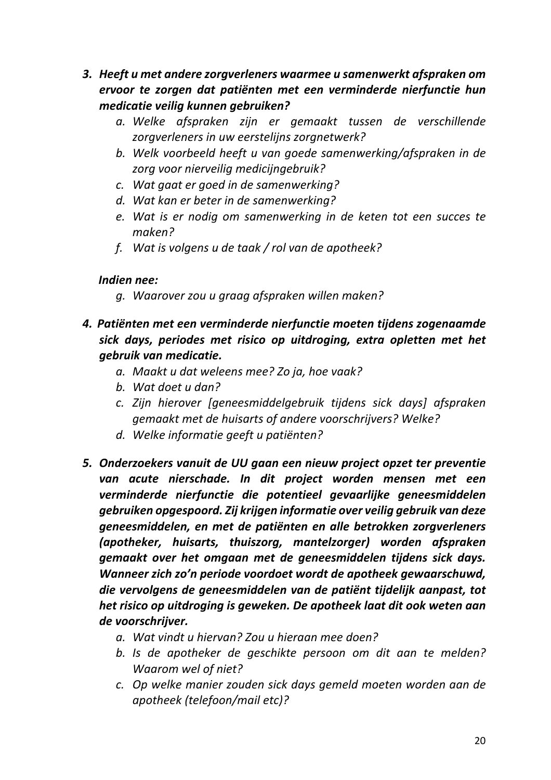- *3. Heeft u met andere zorgverleners waarmee u samenwerkt afspraken om ervoor te zorgen dat patiënten met een verminderde nierfunctie hun medicatie veilig kunnen gebruiken?*
	- *a. Welke afspraken zijn er gemaakt tussen de verschillende zorgverleners in uw eerstelijns zorgnetwerk?*
	- *b. Welk voorbeeld heeft u van goede samenwerking/afspraken in de zorg voor nierveilig medicijngebruik?*
	- *c. Wat gaat er goed in de samenwerking?*
	- *d. Wat kan er beter in de samenwerking?*
	- *e. Wat is er nodig om samenwerking in de keten tot een succes te maken?*
	- *f. Wat is volgens u de taak / rol van de apotheek?*

## *Indien nee:*

- *g. Waarover zou u graag afspraken willen maken?*
- *4. Patiënten met een verminderde nierfunctie moeten tijdens zogenaamde sick days, periodes met risico op uitdroging, extra opletten met het gebruik van medicatie.* 
	- *a. Maakt u dat weleens mee? Zo ja, hoe vaak?*
	- *b. Wat doet u dan?*
	- *c. Zijn hierover [geneesmiddelgebruik tijdens sick days] afspraken gemaakt met de huisarts of andere voorschrijvers? Welke?*
	- *d. Welke informatie geeft u patiënten?*
- *5. Onderzoekers vanuit de UU gaan een nieuw project opzet ter preventie van acute nierschade. In dit project worden mensen met een verminderde nierfunctie die potentieel gevaarlijke geneesmiddelen gebruiken opgespoord. Zij krijgen informatie over veilig gebruik van deze geneesmiddelen, en met de patiënten en alle betrokken zorgverleners (apotheker, huisarts, thuiszorg, mantelzorger) worden afspraken gemaakt over het omgaan met de geneesmiddelen tijdens sick days. Wanneer zich zo'n periode voordoet wordt de apotheek gewaarschuwd, die vervolgens de geneesmiddelen van de patiënt tijdelijk aanpast, tot het risico op uitdroging is geweken. De apotheek laat dit ook weten aan de voorschrijver.*
	- *a. Wat vindt u hiervan? Zou u hieraan mee doen?*
	- *b. Is de apotheker de geschikte persoon om dit aan te melden? Waarom wel of niet?*
	- *c. Op welke manier zouden sick days gemeld moeten worden aan de apotheek (telefoon/mail etc)?*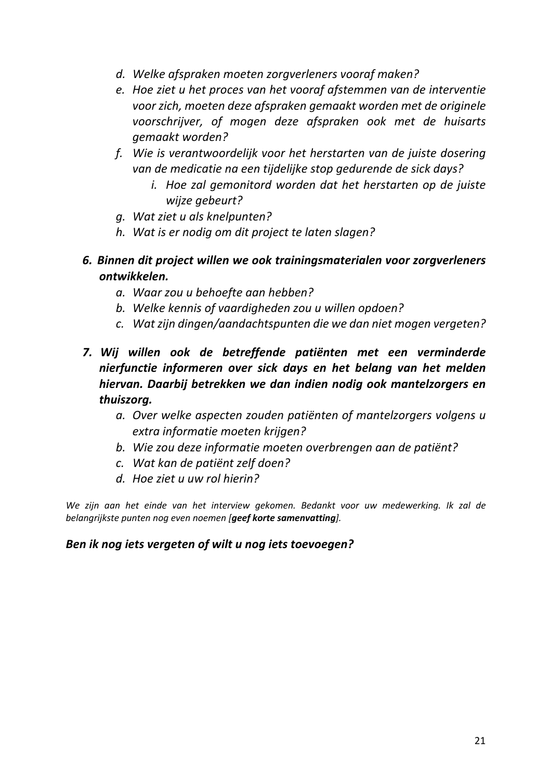- *d. Welke afspraken moeten zorgverleners vooraf maken?*
- *e. Hoe ziet u het proces van het vooraf afstemmen van de interventie voor zich, moeten deze afspraken gemaakt worden met de originele voorschrijver, of mogen deze afspraken ook met de huisarts gemaakt worden?*
- *f. Wie is verantwoordelijk voor het herstarten van de juiste dosering van de medicatie na een tijdelijke stop gedurende de sick days?*
	- *i. Hoe zal gemonitord worden dat het herstarten op de juiste wijze gebeurt?*
- *g. Wat ziet u als knelpunten?*
- *h. Wat is er nodig om dit project te laten slagen?*
- *6. Binnen dit project willen we ook trainingsmaterialen voor zorgverleners ontwikkelen.* 
	- *a. Waar zou u behoefte aan hebben?*
	- *b. Welke kennis of vaardigheden zou u willen opdoen?*
	- *c. Wat zijn dingen/aandachtspunten die we dan niet mogen vergeten?*
- *7. Wij willen ook de betreffende patiënten met een verminderde nierfunctie informeren over sick days en het belang van het melden hiervan. Daarbij betrekken we dan indien nodig ook mantelzorgers en thuiszorg.* 
	- *a. Over welke aspecten zouden patiënten of mantelzorgers volgens u extra informatie moeten krijgen?*
	- *b. Wie zou deze informatie moeten overbrengen aan de patiënt?*
	- *c. Wat kan de patiënt zelf doen?*
	- *d. Hoe ziet u uw rol hierin?*

*We zijn aan het einde van het interview gekomen. Bedankt voor uw medewerking. Ik zal de belangrijkste punten nog even noemen [geef korte samenvatting].* 

## *Ben ik nog iets vergeten of wilt u nog iets toevoegen?*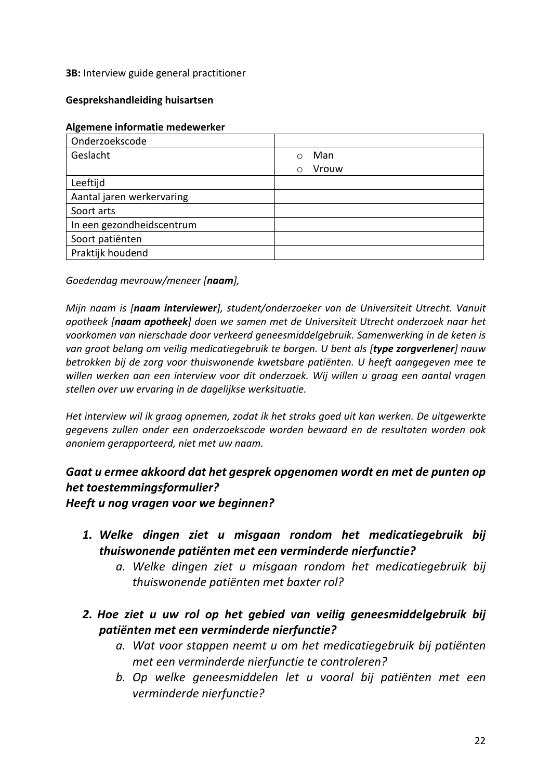### **3B:** Interview guide general practitioner

### **Gesprekshandleiding huisartsen**

#### **Algemene informatie medewerker**

| Onderzoekscode            |                     |
|---------------------------|---------------------|
| Geslacht                  | Man<br>$\bigcirc$   |
|                           | Vrouw<br>$\bigcirc$ |
| Leeftijd                  |                     |
| Aantal jaren werkervaring |                     |
| Soort arts                |                     |
| In een gezondheidscentrum |                     |
| Soort patiënten           |                     |
| Praktijk houdend          |                     |

*Goedendag mevrouw/meneer [naam],*

*Mijn naam is [naam interviewer], student/onderzoeker van de Universiteit Utrecht. Vanuit apotheek [naam apotheek] doen we samen met de Universiteit Utrecht onderzoek naar het voorkomen van nierschade door verkeerd geneesmiddelgebruik. Samenwerking in de keten is van groot belang om veilig medicatiegebruik te borgen. U bent als [type zorgverlener] nauw betrokken bij de zorg voor thuiswonende kwetsbare patiënten. U heeft aangegeven mee te willen werken aan een interview voor dit onderzoek. Wij willen u graag een aantal vragen stellen over uw ervaring in de dagelijkse werksituatie.* 

*Het interview wil ik graag opnemen, zodat ik het straks goed uit kan werken. De uitgewerkte gegevens zullen onder een onderzoekscode worden bewaard en de resultaten worden ook anoniem gerapporteerd, niet met uw naam.* 

## *Gaat u ermee akkoord dat het gesprek opgenomen wordt en met de punten op het toestemmingsformulier?*

*Heeft u nog vragen voor we beginnen?*

- *1. Welke dingen ziet u misgaan rondom het medicatiegebruik bij thuiswonende patiënten met een verminderde nierfunctie?* 
	- *a. Welke dingen ziet u misgaan rondom het medicatiegebruik bij thuiswonende patiënten met baxter rol?*
- *2. Hoe ziet u uw rol op het gebied van veilig geneesmiddelgebruik bij patiënten met een verminderde nierfunctie?*
	- *a. Wat voor stappen neemt u om het medicatiegebruik bij patiënten met een verminderde nierfunctie te controleren?*
	- *b. Op welke geneesmiddelen let u vooral bij patiënten met een verminderde nierfunctie?*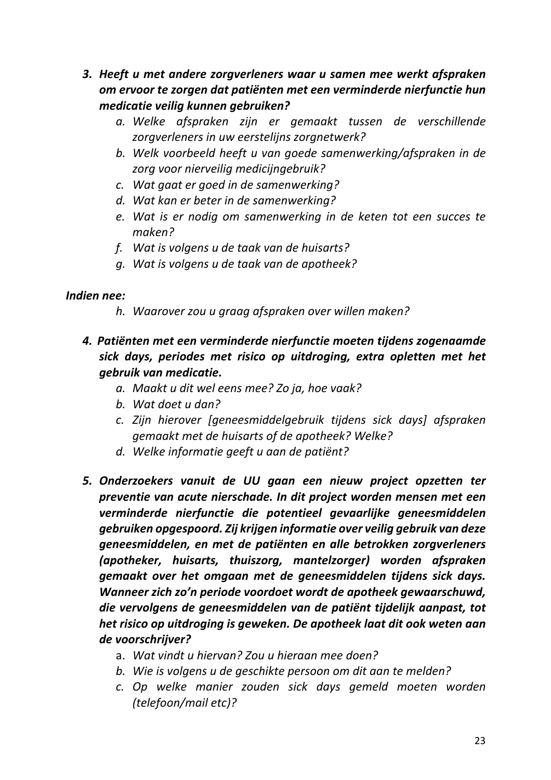- *3. Heeft u met andere zorgverleners waar u samen mee werkt afspraken om ervoor te zorgen dat patiënten met een verminderde nierfunctie hun medicatie veilig kunnen gebruiken?*
	- *a. Welke afspraken zijn er gemaakt tussen de verschillende zorgverleners in uw eerstelijns zorgnetwerk?*
	- *b. Welk voorbeeld heeft u van goede samenwerking/afspraken in de zorg voor nierveilig medicijngebruik?*
	- *c. Wat gaat er goed in de samenwerking?*
	- *d. Wat kan er beter in de samenwerking?*
	- *e. Wat is er nodig om samenwerking in de keten tot een succes te maken?*
	- *f. Wat is volgens u de taak van de huisarts?*
	- *g. Wat is volgens u de taak van de apotheek?*

## *Indien nee:*

- *h. Waarover zou u graag afspraken over willen maken?*
- *4. Patiënten met een verminderde nierfunctie moeten tijdens zogenaamde sick days, periodes met risico op uitdroging, extra opletten met het gebruik van medicatie.* 
	- *a. Maakt u dit wel eens mee? Zo ja, hoe vaak?*
	- *b. Wat doet u dan?*
	- *c. Zijn hierover [geneesmiddelgebruik tijdens sick days] afspraken gemaakt met de huisarts of de apotheek? Welke?*
	- *d. Welke informatie geeft u aan de patiënt?*
- *5. Onderzoekers vanuit de UU gaan een nieuw project opzetten ter preventie van acute nierschade. In dit project worden mensen met een verminderde nierfunctie die potentieel gevaarlijke geneesmiddelen gebruiken opgespoord. Zij krijgen informatie over veilig gebruik van deze geneesmiddelen, en met de patiënten en alle betrokken zorgverleners (apotheker, huisarts, thuiszorg, mantelzorger) worden afspraken gemaakt over het omgaan met de geneesmiddelen tijdens sick days. Wanneer zich zo'n periode voordoet wordt de apotheek gewaarschuwd, die vervolgens de geneesmiddelen van de patiënt tijdelijk aanpast, tot het risico op uitdroging is geweken. De apotheek laat dit ook weten aan de voorschrijver?*
	- a. *Wat vindt u hiervan? Zou u hieraan mee doen?*
	- *b. Wie is volgens u de geschikte persoon om dit aan te melden?*
	- *c. Op welke manier zouden sick days gemeld moeten worden (telefoon/mail etc)?*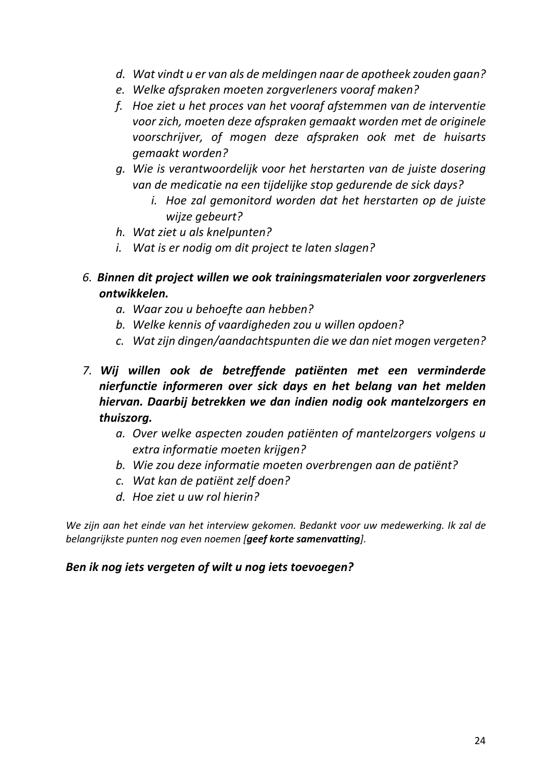- *d. Wat vindt u er van als de meldingen naar de apotheek zouden gaan?*
- *e. Welke afspraken moeten zorgverleners vooraf maken?*
- *f. Hoe ziet u het proces van het vooraf afstemmen van de interventie voor zich, moeten deze afspraken gemaakt worden met de originele voorschrijver, of mogen deze afspraken ook met de huisarts gemaakt worden?*
- *g. Wie is verantwoordelijk voor het herstarten van de juiste dosering van de medicatie na een tijdelijke stop gedurende de sick days?*
	- *i. Hoe zal gemonitord worden dat het herstarten op de juiste wijze gebeurt?*
- *h. Wat ziet u als knelpunten?*
- *i. Wat is er nodig om dit project te laten slagen?*
- *6. Binnen dit project willen we ook trainingsmaterialen voor zorgverleners ontwikkelen.* 
	- *a. Waar zou u behoefte aan hebben?*
	- *b. Welke kennis of vaardigheden zou u willen opdoen?*
	- *c. Wat zijn dingen/aandachtspunten die we dan niet mogen vergeten?*
- *7. Wij willen ook de betreffende patiënten met een verminderde nierfunctie informeren over sick days en het belang van het melden hiervan. Daarbij betrekken we dan indien nodig ook mantelzorgers en thuiszorg.* 
	- *a. Over welke aspecten zouden patiënten of mantelzorgers volgens u extra informatie moeten krijgen?*
	- *b. Wie zou deze informatie moeten overbrengen aan de patiënt?*
	- *c. Wat kan de patiënt zelf doen?*
	- *d. Hoe ziet u uw rol hierin?*

*We zijn aan het einde van het interview gekomen. Bedankt voor uw medewerking. Ik zal de belangrijkste punten nog even noemen [geef korte samenvatting].* 

## *Ben ik nog iets vergeten of wilt u nog iets toevoegen?*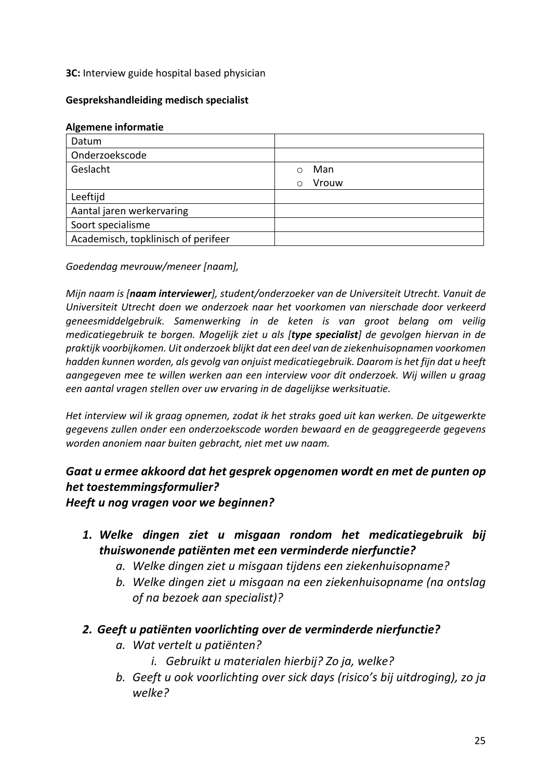**3C:** Interview guide hospital based physician

### **Gesprekshandleiding medisch specialist**

### **Algemene informatie**

| Datum                               |                     |
|-------------------------------------|---------------------|
| Onderzoekscode                      |                     |
| Geslacht                            | Man                 |
|                                     | Vrouw<br>$\bigcirc$ |
| Leeftijd                            |                     |
| Aantal jaren werkervaring           |                     |
| Soort specialisme                   |                     |
| Academisch, topklinisch of perifeer |                     |

*Goedendag mevrouw/meneer [naam],*

*Mijn naam is [naam interviewer], student/onderzoeker van de Universiteit Utrecht. Vanuit de Universiteit Utrecht doen we onderzoek naar het voorkomen van nierschade door verkeerd geneesmiddelgebruik. Samenwerking in de keten is van groot belang om veilig medicatiegebruik te borgen. Mogelijk ziet u als [type specialist] de gevolgen hiervan in de praktijk voorbijkomen. Uit onderzoek blijkt dat een deel van de ziekenhuisopnamen voorkomen hadden kunnen worden, als gevolg van onjuist medicatiegebruik. Daarom is het fijn dat u heeft aangegeven mee te willen werken aan een interview voor dit onderzoek. Wij willen u graag een aantal vragen stellen over uw ervaring in de dagelijkse werksituatie.*

*Het interview wil ik graag opnemen, zodat ik het straks goed uit kan werken. De uitgewerkte gegevens zullen onder een onderzoekscode worden bewaard en de geaggregeerde gegevens worden anoniem naar buiten gebracht, niet met uw naam.* 

## *Gaat u ermee akkoord dat het gesprek opgenomen wordt en met de punten op het toestemmingsformulier?*

*Heeft u nog vragen voor we beginnen?*

- *1. Welke dingen ziet u misgaan rondom het medicatiegebruik bij thuiswonende patiënten met een verminderde nierfunctie?* 
	- *a. Welke dingen ziet u misgaan tijdens een ziekenhuisopname?*
	- *b. Welke dingen ziet u misgaan na een ziekenhuisopname (na ontslag of na bezoek aan specialist)?*

## *2. Geeft u patiënten voorlichting over de verminderde nierfunctie?*

- *a. Wat vertelt u patiënten?* 
	- *i. Gebruikt u materialen hierbij? Zo ja, welke?*
- *b. Geeft u ook voorlichting over sick days (risico's bij uitdroging), zo ja welke?*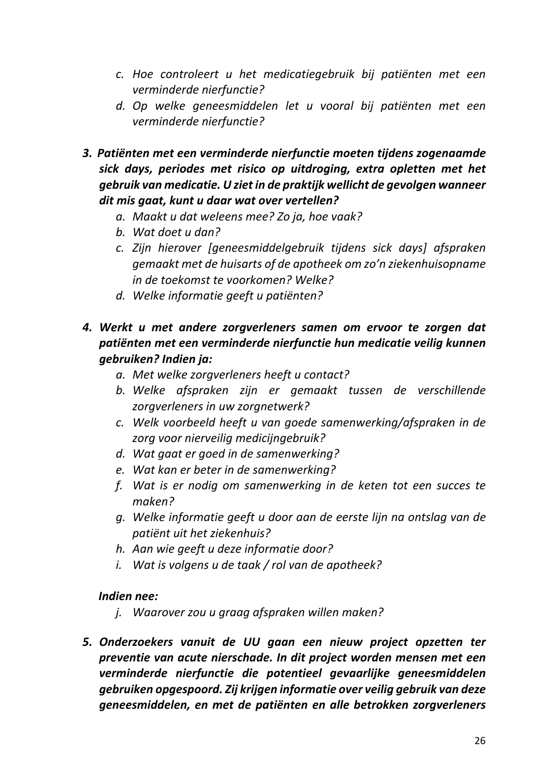- *c. Hoe controleert u het medicatiegebruik bij patiënten met een verminderde nierfunctie?*
- *d. Op welke geneesmiddelen let u vooral bij patiënten met een verminderde nierfunctie?*
- *3. Patiënten met een verminderde nierfunctie moeten tijdens zogenaamde sick days, periodes met risico op uitdroging, extra opletten met het gebruik van medicatie. U ziet in de praktijk wellicht de gevolgen wanneer dit mis gaat, kunt u daar wat over vertellen?*
	- *a. Maakt u dat weleens mee? Zo ja, hoe vaak?*
	- *b. Wat doet u dan?*
	- *c. Zijn hierover [geneesmiddelgebruik tijdens sick days] afspraken gemaakt met de huisarts of de apotheek om zo'n ziekenhuisopname in de toekomst te voorkomen? Welke?*
	- *d. Welke informatie geeft u patiënten?*
- *4. Werkt u met andere zorgverleners samen om ervoor te zorgen dat patiënten met een verminderde nierfunctie hun medicatie veilig kunnen gebruiken? Indien ja:*
	- *a. Met welke zorgverleners heeft u contact?*
	- *b. Welke afspraken zijn er gemaakt tussen de verschillende zorgverleners in uw zorgnetwerk?*
	- *c. Welk voorbeeld heeft u van goede samenwerking/afspraken in de zorg voor nierveilig medicijngebruik?*
	- *d. Wat gaat er goed in de samenwerking?*
	- *e. Wat kan er beter in de samenwerking?*
	- *f. Wat is er nodig om samenwerking in de keten tot een succes te maken?*
	- *g. Welke informatie geeft u door aan de eerste lijn na ontslag van de patiënt uit het ziekenhuis?*
	- *h. Aan wie geeft u deze informatie door?*
	- *i. Wat is volgens u de taak / rol van de apotheek?*

## *Indien nee:*

- *j. Waarover zou u graag afspraken willen maken?*
- *5. Onderzoekers vanuit de UU gaan een nieuw project opzetten ter preventie van acute nierschade. In dit project worden mensen met een verminderde nierfunctie die potentieel gevaarlijke geneesmiddelen gebruiken opgespoord. Zij krijgen informatie over veilig gebruik van deze geneesmiddelen, en met de patiënten en alle betrokken zorgverleners*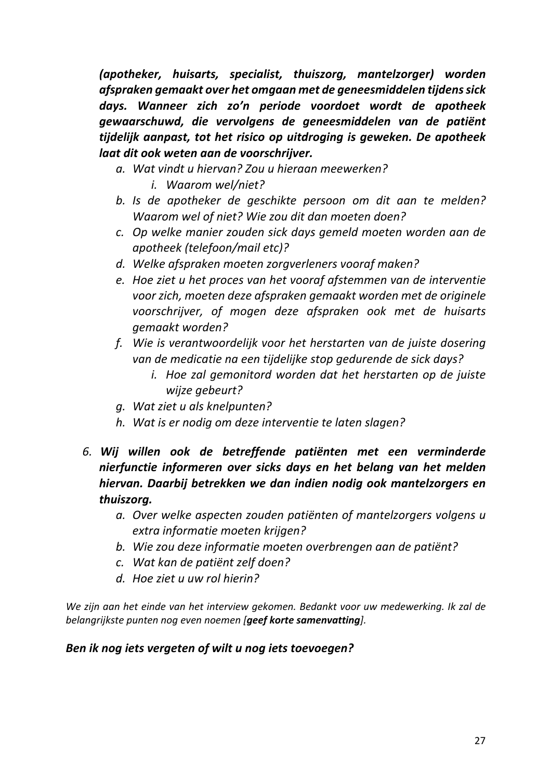*(apotheker, huisarts, specialist, thuiszorg, mantelzorger) worden afspraken gemaakt over het omgaan met de geneesmiddelen tijdens sick days. Wanneer zich zo'n periode voordoet wordt de apotheek gewaarschuwd, die vervolgens de geneesmiddelen van de patiënt tijdelijk aanpast, tot het risico op uitdroging is geweken. De apotheek laat dit ook weten aan de voorschrijver.*

- *a. Wat vindt u hiervan? Zou u hieraan meewerken?* 
	- *i. Waarom wel/niet?*
- *b. Is de apotheker de geschikte persoon om dit aan te melden? Waarom wel of niet? Wie zou dit dan moeten doen?*
- *c. Op welke manier zouden sick days gemeld moeten worden aan de apotheek (telefoon/mail etc)?*
- *d. Welke afspraken moeten zorgverleners vooraf maken?*
- *e. Hoe ziet u het proces van het vooraf afstemmen van de interventie voor zich, moeten deze afspraken gemaakt worden met de originele voorschrijver, of mogen deze afspraken ook met de huisarts gemaakt worden?*
- *f. Wie is verantwoordelijk voor het herstarten van de juiste dosering van de medicatie na een tijdelijke stop gedurende de sick days?* 
	- *i. Hoe zal gemonitord worden dat het herstarten op de juiste wijze gebeurt?*
- *g. Wat ziet u als knelpunten?*
- *h. Wat is er nodig om deze interventie te laten slagen?*
- *6. Wij willen ook de betreffende patiënten met een verminderde nierfunctie informeren over sicks days en het belang van het melden hiervan. Daarbij betrekken we dan indien nodig ook mantelzorgers en thuiszorg.* 
	- *a. Over welke aspecten zouden patiënten of mantelzorgers volgens u extra informatie moeten krijgen?*
	- *b. Wie zou deze informatie moeten overbrengen aan de patiënt?*
	- *c. Wat kan de patiënt zelf doen?*
	- *d. Hoe ziet u uw rol hierin?*

*We zijn aan het einde van het interview gekomen. Bedankt voor uw medewerking. Ik zal de belangrijkste punten nog even noemen [geef korte samenvatting].* 

## *Ben ik nog iets vergeten of wilt u nog iets toevoegen?*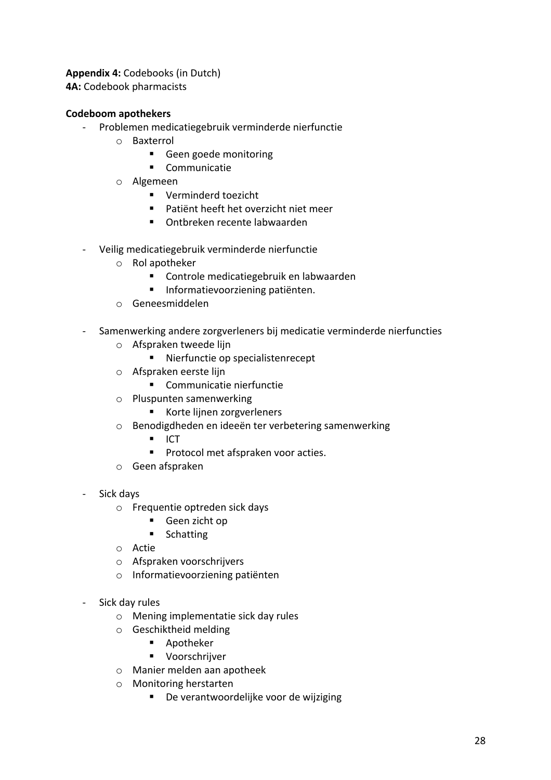**Appendix 4:** Codebooks (in Dutch) **4A:** Codebook pharmacists

### **Codeboom apothekers**

- Problemen medicatiegebruik verminderde nierfunctie
	- o Baxterrol
		- Geen goede monitoring
		- § Communicatie
	- o Algemeen
		- Verminderd toezicht
		- Patiënt heeft het overzicht niet meer
		- Ontbreken recente labwaarden
- Veilig medicatiegebruik verminderde nierfunctie
	- o Rol apotheker
		- Controle medicatiegebruik en labwaarden
		- Informatievoorziening patiënten.
	- o Geneesmiddelen
- Samenwerking andere zorgverleners bij medicatie verminderde nierfuncties
	- o Afspraken tweede lijn
		- Nierfunctie op specialistenrecept
	- o Afspraken eerste lijn
		- Communicatie nierfunctie
	- o Pluspunten samenwerking
		- Korte lijnen zorgverleners
	- o Benodigdheden en ideeën ter verbetering samenwerking
		- $\blacksquare$  ICT
		- Protocol met afspraken voor acties.
	- o Geen afspraken
- Sick days
	- o Frequentie optreden sick days
		- § Geen zicht op
		- Schatting
	- o Actie
	- o Afspraken voorschrijvers
	- o Informatievoorziening patiënten
- Sick day rules
	- o Mening implementatie sick day rules
	- o Geschiktheid melding
		- Apotheker
		- § Voorschrijver
	- o Manier melden aan apotheek
	- o Monitoring herstarten
		- De verantwoordelijke voor de wijziging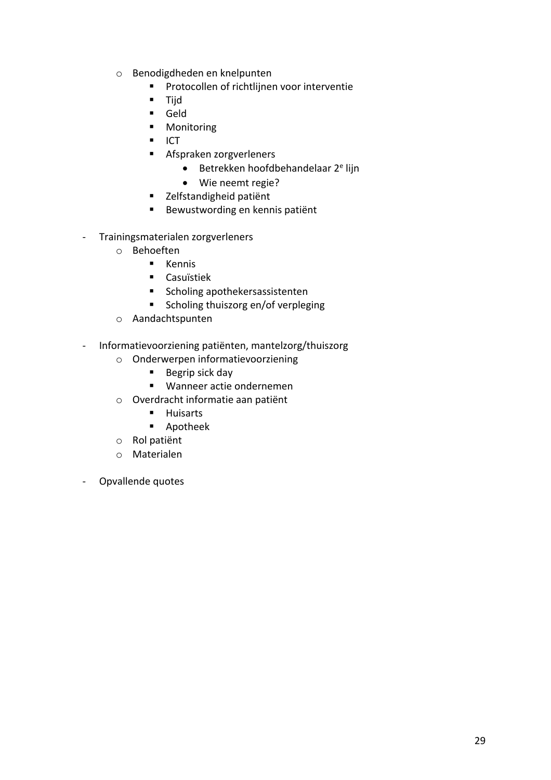- o Benodigdheden en knelpunten
	- Protocollen of richtlijnen voor interventie
	- Tijd
	- § Geld
	- Monitoring
	- ICT
	- § Afspraken zorgverleners
		- $\bullet$  Betrekken hoofdbehandelaar  $2^e$  lijn
		- Wie neemt regie?
	- Zelfstandigheid patiënt
	- Bewustwording en kennis patiënt
- Trainingsmaterialen zorgverleners
	- o Behoeften
		- § Kennis
		- Casuïstiek
		- Scholing apothekersassistenten
		- Scholing thuiszorg en/of verpleging
	- o Aandachtspunten
- Informatievoorziening patiënten, mantelzorg/thuiszorg
	- o Onderwerpen informatievoorziening
		- Begrip sick day
		- Wanneer actie ondernemen
	- o Overdracht informatie aan patiënt
		- Huisarts
		- Apotheek
	- o Rol patiënt
	- o Materialen
- Opvallende quotes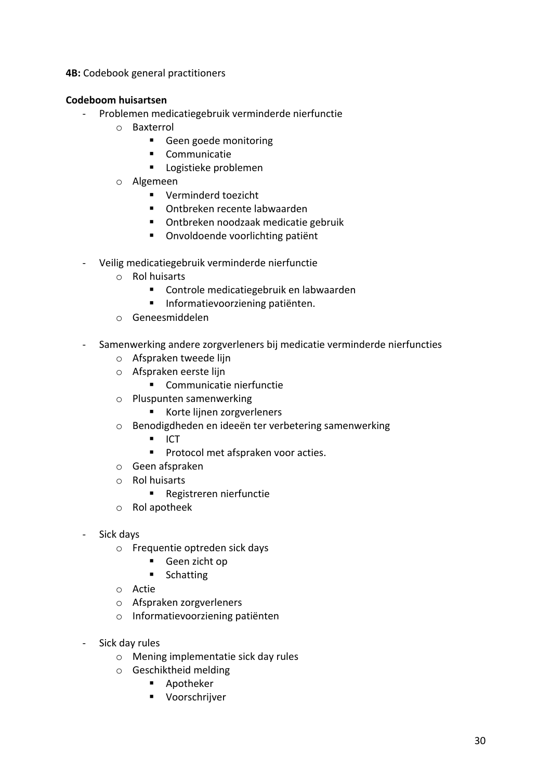**4B:** Codebook general practitioners

## **Codeboom huisartsen**

- Problemen medicatiegebruik verminderde nierfunctie
	- o Baxterrol
		- Geen goede monitoring
		- § Communicatie
		- Logistieke problemen
	- o Algemeen
		- Verminderd toezicht
		- Ontbreken recente labwaarden
		- Ontbreken noodzaak medicatie gebruik
		- Onvoldoende voorlichting patiënt
- Veilig medicatiegebruik verminderde nierfunctie
	- o Rol huisarts
		- Controle medicatiegebruik en labwaarden
		- Informatievoorziening patiënten.
	- o Geneesmiddelen
- Samenwerking andere zorgverleners bij medicatie verminderde nierfuncties
	- o Afspraken tweede lijn
	- o Afspraken eerste lijn
		- Communicatie nierfunctie
	- o Pluspunten samenwerking
		- Korte lijnen zorgverleners
	- o Benodigdheden en ideeën ter verbetering samenwerking
		- $\blacksquare$  ICT
		- Protocol met afspraken voor acties.
	- o Geen afspraken
	- o Rol huisarts
		- Registreren nierfunctie
	- o Rol apotheek
- Sick days
	- o Frequentie optreden sick days
		- Geen zicht op
		- Schatting
	- o Actie
	- o Afspraken zorgverleners
	- o Informatievoorziening patiënten
- Sick day rules
	- o Mening implementatie sick day rules
	- o Geschiktheid melding
		- Apotheker
		- § Voorschrijver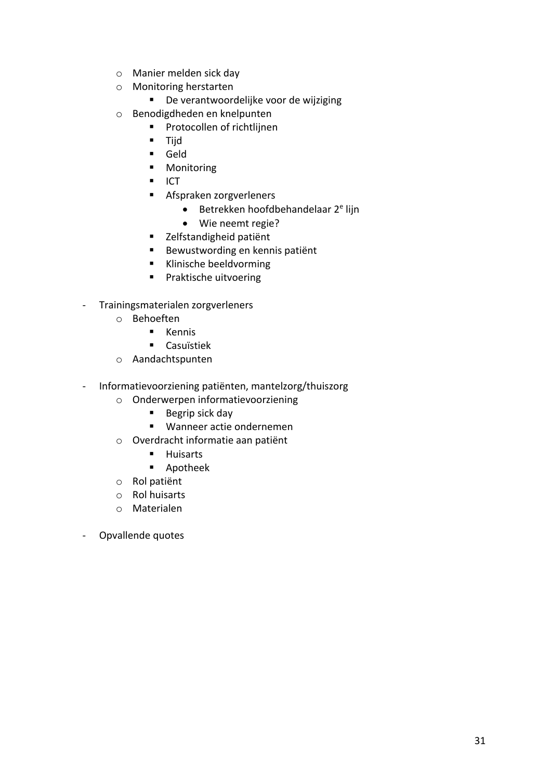- o Manier melden sick day
- o Monitoring herstarten
	- De verantwoordelijke voor de wijziging
- o Benodigdheden en knelpunten
	- Protocollen of richtliinen
	- Tijd
	- § Geld
	- Monitoring
	- ICT
	- § Afspraken zorgverleners
		- $\bullet$  Betrekken hoofdbehandelaar  $2^e$  lijn
		- Wie neemt regie?
	- Zelfstandigheid patiënt
	- Bewustwording en kennis patiënt
	- § Klinische beeldvorming
	- Praktische uitvoering
- Trainingsmaterialen zorgverleners
	- o Behoeften
		- § Kennis
		- Casuïstiek
	- o Aandachtspunten
- Informatievoorziening patiënten, mantelzorg/thuiszorg
	- o Onderwerpen informatievoorziening
		- Begrip sick day
		- Wanneer actie ondernemen
	- o Overdracht informatie aan patiënt
		- Huisarts
		- Apotheek
	- o Rol patiënt
	- o Rol huisarts
	- o Materialen
- Opvallende quotes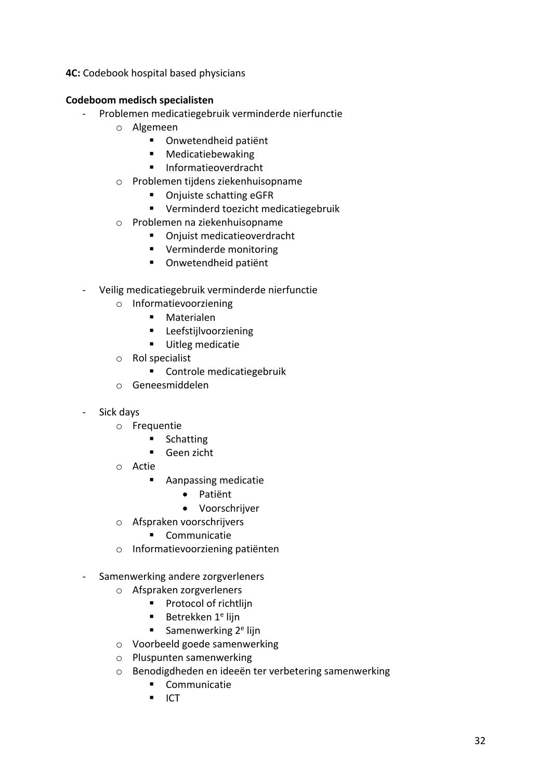**4C:** Codebook hospital based physicians

### **Codeboom medisch specialisten**

- Problemen medicatiegebruik verminderde nierfunctie
	- o Algemeen
		- Onwetendheid patiënt
		- § Medicatiebewaking
		- § Informatieoverdracht
	- o Problemen tijdens ziekenhuisopname
		- Onjuiste schatting eGFR
		- Verminderd toezicht medicatiegebruik
	- o Problemen na ziekenhuisopname
		- Oniuist medicatieoverdracht
		- Verminderde monitoring
		- Onwetendheid patiënt
- Veilig medicatiegebruik verminderde nierfunctie
	- o Informatievoorziening
		- Materialen
		- § Leefstijlvoorziening
		- Uitleg medicatie
	- o Rol specialist
		- Controle medicatiegebruik
	- o Geneesmiddelen
- Sick days
	- o Frequentie
		- Schatting
		- Geen zicht
	- o Actie
		- Aanpassing medicatie
			- Patiënt
			- Voorschrijver
	- o Afspraken voorschrijvers
		- § Communicatie
	- o Informatievoorziening patiënten
- Samenwerking andere zorgverleners
	- o Afspraken zorgverleners
		- Protocol of richtlijn
		- **Betrekken 1<sup>e</sup> lijn**
		- Samenwerking  $2<sup>e</sup>$  lijn
	- o Voorbeeld goede samenwerking
	- o Pluspunten samenwerking
	- o Benodigdheden en ideeën ter verbetering samenwerking
		- § Communicatie
		- ICT